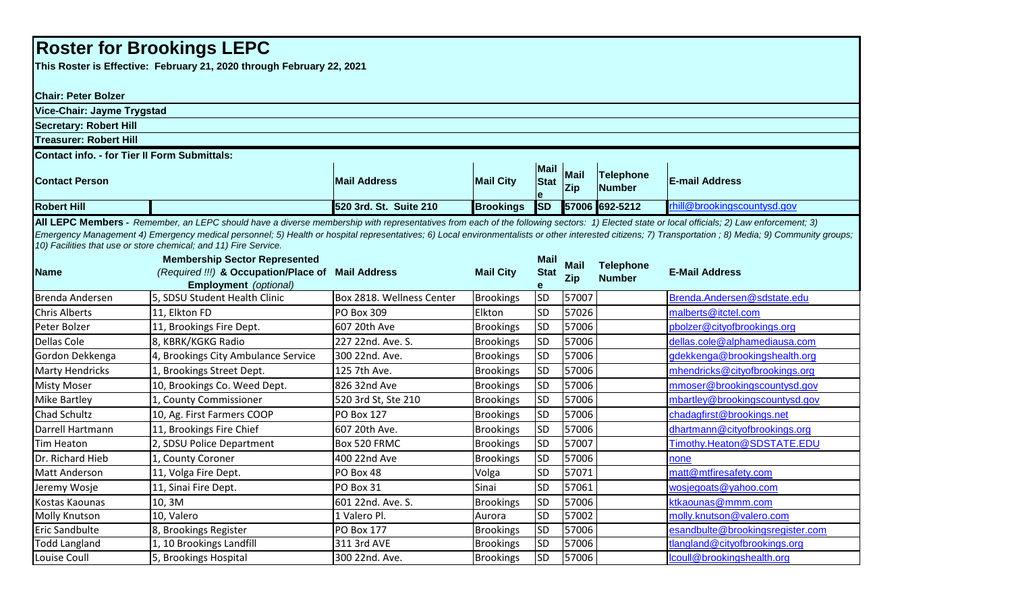## **Roster for Brookings LEPC**

**This Roster is Effective: February 21, 2020 through February 22, 2021**

| <b>Chair: Peter Bolzer</b>                                                                                                                                                                                                                                                                                                                                                                                                                                               |                                                        |                           |                  |                                 |                           |                            |                                  |  |  |
|--------------------------------------------------------------------------------------------------------------------------------------------------------------------------------------------------------------------------------------------------------------------------------------------------------------------------------------------------------------------------------------------------------------------------------------------------------------------------|--------------------------------------------------------|---------------------------|------------------|---------------------------------|---------------------------|----------------------------|----------------------------------|--|--|
| Vice-Chair: Jayme Trygstad                                                                                                                                                                                                                                                                                                                                                                                                                                               |                                                        |                           |                  |                                 |                           |                            |                                  |  |  |
| <b>Secretary: Robert Hill</b>                                                                                                                                                                                                                                                                                                                                                                                                                                            |                                                        |                           |                  |                                 |                           |                            |                                  |  |  |
| <b>Treasurer: Robert Hill</b>                                                                                                                                                                                                                                                                                                                                                                                                                                            |                                                        |                           |                  |                                 |                           |                            |                                  |  |  |
| <b>Contact info. - for Tier II Form Submittals:</b>                                                                                                                                                                                                                                                                                                                                                                                                                      |                                                        |                           |                  |                                 |                           |                            |                                  |  |  |
| <b>Contact Person</b>                                                                                                                                                                                                                                                                                                                                                                                                                                                    |                                                        | <b>Mail Address</b>       | <b>Mail City</b> | <b>Mail</b><br><b>Stat</b><br>e | <b>Mail</b><br><b>Zip</b> | Telephone<br><b>Number</b> | <b>E-mail Address</b>            |  |  |
| <b>Robert Hill</b>                                                                                                                                                                                                                                                                                                                                                                                                                                                       |                                                        | 520 3rd. St. Suite 210    | <b>Brookings</b> | <b>SD</b>                       |                           | 57006 692-5212             | rhill@brookingscountysd.gov      |  |  |
| All LEPC Members - Remember, an LEPC should have a diverse membership with representatives from each of the following sectors: 1) Elected state or local officials; 2) Law enforcement; 3)<br>Emergency Management 4) Emergency medical personnel; 5) Health or hospital representatives; 6) Local environmentalists or other interested citizens; 7) Transportation; 8) Media; 9) Community groups;<br>10) Facilities that use or store chemical; and 11) Fire Service. |                                                        |                           |                  |                                 |                           |                            |                                  |  |  |
|                                                                                                                                                                                                                                                                                                                                                                                                                                                                          | <b>Membership Sector Represented</b>                   |                           |                  | <b>Mail</b>                     | <b>Mail</b>               | <b>Telephone</b>           |                                  |  |  |
| <b>Name</b>                                                                                                                                                                                                                                                                                                                                                                                                                                                              | (Required !!!) & Occupation/Place of Mail Address      |                           | <b>Mail City</b> | <b>Stat</b>                     | <b>Zip</b>                | <b>Number</b>              | <b>E-Mail Address</b>            |  |  |
| Brenda Andersen                                                                                                                                                                                                                                                                                                                                                                                                                                                          | Employment (optional)<br>5, SDSU Student Health Clinic | Box 2818. Wellness Center | <b>Brookings</b> | e<br><b>SD</b>                  | 57007                     |                            | Brenda.Andersen@sdstate.edu      |  |  |
| <b>Chris Alberts</b>                                                                                                                                                                                                                                                                                                                                                                                                                                                     | 11, Elkton FD                                          | PO Box 309                | Elkton           | <b>SD</b>                       | 57026                     |                            | malberts@itctel.com              |  |  |
| Peter Bolzer                                                                                                                                                                                                                                                                                                                                                                                                                                                             | 11, Brookings Fire Dept.                               | 607 20th Ave              | <b>Brookings</b> | SD                              | 57006                     |                            | pbolzer@cityofbrookings.org      |  |  |
| <b>Dellas Cole</b>                                                                                                                                                                                                                                                                                                                                                                                                                                                       | 8, KBRK/KGKG Radio                                     | 227 22nd. Ave. S.         | <b>Brookings</b> | <b>SD</b>                       | 57006                     |                            | dellas.cole@alphamediausa.com    |  |  |
| Gordon Dekkenga                                                                                                                                                                                                                                                                                                                                                                                                                                                          | 4, Brookings City Ambulance Service                    | 300 22nd. Ave.            | <b>Brookings</b> | <b>SD</b>                       | 57006                     |                            | gdekkenga@brookingshealth.org    |  |  |
| <b>Marty Hendricks</b>                                                                                                                                                                                                                                                                                                                                                                                                                                                   | 1, Brookings Street Dept.                              | 125 7th Ave.              | <b>Brookings</b> | <b>SD</b>                       | 57006                     |                            | mhendricks@cityofbrookings.org   |  |  |
| <b>Misty Moser</b>                                                                                                                                                                                                                                                                                                                                                                                                                                                       | 10, Brookings Co. Weed Dept.                           | 826 32nd Ave              | <b>Brookings</b> | SD                              | 57006                     |                            | mmoser@brookingscountysd.gov     |  |  |
| <b>Mike Bartley</b>                                                                                                                                                                                                                                                                                                                                                                                                                                                      | 1, County Commissioner                                 | 520 3rd St, Ste 210       | <b>Brookings</b> | <b>SD</b>                       | 57006                     |                            | mbartley@brookingscountysd.gov   |  |  |
| <b>Chad Schultz</b>                                                                                                                                                                                                                                                                                                                                                                                                                                                      | 10, Ag. First Farmers COOP                             | <b>PO Box 127</b>         | <b>Brookings</b> | <b>SD</b>                       | 57006                     |                            | chadagfirst@brookings.net        |  |  |
| Darrell Hartmann                                                                                                                                                                                                                                                                                                                                                                                                                                                         | 11, Brookings Fire Chief                               | 607 20th Ave.             | <b>Brookings</b> | <b>SD</b>                       | 57006                     |                            | dhartmann@cityofbrookings.org    |  |  |
| <b>Tim Heaton</b>                                                                                                                                                                                                                                                                                                                                                                                                                                                        | 2, SDSU Police Department                              | Box 520 FRMC              | <b>Brookings</b> | <b>SD</b>                       | 57007                     |                            | Timothy.Heaton@SDSTATE.EDU       |  |  |
| Dr. Richard Hieb                                                                                                                                                                                                                                                                                                                                                                                                                                                         | 1, County Coroner                                      | 400 22nd Ave              | <b>Brookings</b> | <b>SD</b>                       | 57006                     |                            | none                             |  |  |
| Matt Anderson                                                                                                                                                                                                                                                                                                                                                                                                                                                            | 11, Volga Fire Dept.                                   | PO Box 48                 | Volga            | <b>SD</b>                       | 57071                     |                            | matt@mtfiresafety.com            |  |  |
| Jeremy Wosje                                                                                                                                                                                                                                                                                                                                                                                                                                                             | 11, Sinai Fire Dept.                                   | PO Box 31                 | Sinai            | <b>SD</b>                       | 57061                     |                            | wosjegoats@yahoo.com             |  |  |
| Kostas Kaounas                                                                                                                                                                                                                                                                                                                                                                                                                                                           | 10, 3M                                                 | 601 22nd. Ave. S.         | <b>Brookings</b> | SD                              | 57006                     |                            | ktkaounas@mmm.com                |  |  |
| <b>Molly Knutson</b>                                                                                                                                                                                                                                                                                                                                                                                                                                                     | 10, Valero                                             | 1 Valero Pl.              | Aurora           | <b>SD</b>                       | 57002                     |                            | molly.knutson@valero.com         |  |  |
| <b>Eric Sandbulte</b>                                                                                                                                                                                                                                                                                                                                                                                                                                                    | 8, Brookings Register                                  | <b>PO Box 177</b>         | <b>Brookings</b> | <b>SD</b>                       | 57006                     |                            | esandbulte@brookingsregister.com |  |  |
| <b>Todd Langland</b>                                                                                                                                                                                                                                                                                                                                                                                                                                                     | 1, 10 Brookings Landfill                               | 311 3rd AVE               | <b>Brookings</b> | <b>SD</b>                       | 57006                     |                            | tlangland@cityofbrookings.org    |  |  |
| Louise Coull                                                                                                                                                                                                                                                                                                                                                                                                                                                             | 5, Brookings Hospital                                  | 300 22nd. Ave.            | <b>Brookings</b> | <b>SD</b>                       | 57006                     |                            | lcoull@brookingshealth.org       |  |  |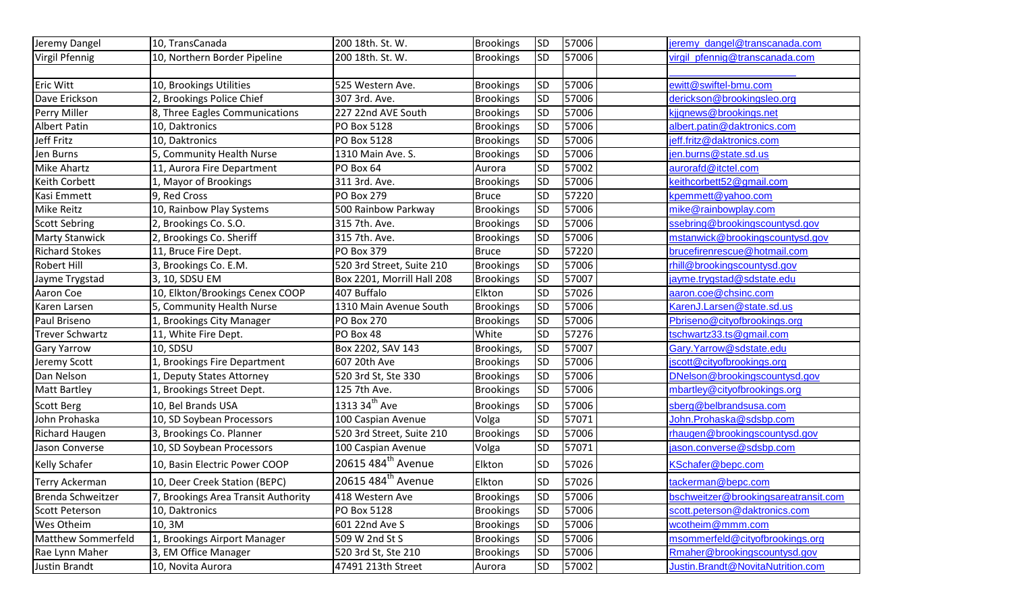| Jeremy Dangel             | 10, TransCanada                     | 200 18th. St. W.               | <b>Brookings</b> | <b>SD</b>       | 57006 | jeremy dangel@transcanada.com        |
|---------------------------|-------------------------------------|--------------------------------|------------------|-----------------|-------|--------------------------------------|
| Virgil Pfennig            | 10, Northern Border Pipeline        | 200 18th. St. W.               | <b>Brookings</b> | <b>SD</b>       | 57006 | virgil_pfennig@transcanada.com       |
|                           |                                     |                                |                  |                 |       |                                      |
| Eric Witt                 | 10, Brookings Utilities             | 525 Western Ave.               | <b>Brookings</b> | <b>SD</b>       | 57006 | ewitt@swiftel-bmu.com                |
| Dave Erickson             | 2, Brookings Police Chief           | 307 3rd. Ave.                  | <b>Brookings</b> | SD <sup>1</sup> | 57006 | derickson@brookingsleo.org           |
| Perry Miller              | 8, Three Eagles Communications      | 227 22nd AVE South             | <b>Brookings</b> | <b>SD</b>       | 57006 | kjjgnews@brookings.net               |
| Albert Patin              | 10, Daktronics                      | PO Box 5128                    | <b>Brookings</b> | <b>SD</b>       | 57006 | albert.patin@daktronics.com          |
| Jeff Fritz                | 10, Daktronics                      | PO Box 5128                    | <b>Brookings</b> | SD <sup>1</sup> | 57006 | jeff.fritz@daktronics.com            |
| Jen Burns                 | 5, Community Health Nurse           | 1310 Main Ave. S.              | <b>Brookings</b> | <b>SD</b>       | 57006 | jen.burns@state.sd.us                |
| <b>Mike Ahartz</b>        | 11, Aurora Fire Department          | PO Box 64                      | Aurora           | <b>SD</b>       | 57002 | aurorafd@itctel.com                  |
| Keith Corbett             | 1, Mayor of Brookings               | 311 3rd. Ave.                  | <b>Brookings</b> | <b>SD</b>       | 57006 | keithcorbett52@gmail.com             |
| Kasi Emmett               | 9, Red Cross                        | <b>PO Box 279</b>              | <b>Bruce</b>     | <b>SD</b>       | 57220 | kpemmett@yahoo.com                   |
| <b>Mike Reitz</b>         | 10, Rainbow Play Systems            | 500 Rainbow Parkway            | <b>Brookings</b> | <b>SD</b>       | 57006 | mike@rainbowplay.com                 |
| <b>Scott Sebring</b>      | 2, Brookings Co. S.O.               | 315 7th. Ave.                  | <b>Brookings</b> | <b>SD</b>       | 57006 | ssebring@brookingscountysd.gov       |
| <b>Marty Stanwick</b>     | 2, Brookings Co. Sheriff            | 315 7th. Ave.                  | <b>Brookings</b> | SD <sup>1</sup> | 57006 | mstanwick@brookingscountysd.gov      |
| <b>Richard Stokes</b>     | 11, Bruce Fire Dept.                | <b>PO Box 379</b>              | <b>Bruce</b>     | <b>SD</b>       | 57220 | brucefirenrescue@hotmail.com         |
| <b>Robert Hill</b>        | 3, Brookings Co. E.M.               | 520 3rd Street, Suite 210      | <b>Brookings</b> | <b>SD</b>       | 57006 | rhill@brookingscountysd.gov          |
| Jayme Trygstad            | 3, 10, SDSU EM                      | Box 2201, Morrill Hall 208     | <b>Brookings</b> | SD <sup>1</sup> | 57007 | jayme.trygstad@sdstate.edu           |
| Aaron Coe                 | 10, Elkton/Brookings Cenex COOP     | 407 Buffalo                    | Elkton           | <b>SD</b>       | 57026 | aaron.coe@chsinc.com                 |
| Karen Larsen              | 5, Community Health Nurse           | 1310 Main Avenue South         | <b>Brookings</b> | <b>SD</b>       | 57006 | KarenJ.Larsen@state.sd.us            |
| Paul Briseno              | 1, Brookings City Manager           | <b>PO Box 270</b>              | <b>Brookings</b> | <b>SD</b>       | 57006 | Pbriseno@cityofbrookings.org         |
| Trever Schwartz           | 11, White Fire Dept.                | PO Box 48                      | White            | <b>SD</b>       | 57276 | tschwartz33.ts@gmail.com             |
| <b>Gary Yarrow</b>        | 10, SDSU                            | Box 2202, SAV 143              | Brookings,       | <b>SD</b>       | 57007 | Gary.Yarrow@sdstate.edu              |
| Jeremy Scott              | 1, Brookings Fire Department        | 607 20th Ave                   | <b>Brookings</b> | <b>SD</b>       | 57006 | jscott@cityofbrookings.org           |
| Dan Nelson                | 1, Deputy States Attorney           | 520 3rd St, Ste 330            | <b>Brookings</b> | <b>SD</b>       | 57006 | DNelson@brookingscountysd.gov        |
| <b>Matt Bartley</b>       | 1, Brookings Street Dept.           | 125 7th Ave.                   | <b>Brookings</b> | <b>SD</b>       | 57006 | mbartley@cityofbrookings.org         |
| Scott Berg                | 10, Bel Brands USA                  | 1313 34 <sup>th</sup> Ave      | <b>Brookings</b> | SD <sup>1</sup> | 57006 | sberg@belbrandsusa.com               |
| John Prohaska             | 10, SD Soybean Processors           | 100 Caspian Avenue             | Volga            | <b>SD</b>       | 57071 | John.Prohaska@sdsbp.com              |
| <b>Richard Haugen</b>     | 3, Brookings Co. Planner            | 520 3rd Street, Suite 210      | <b>Brookings</b> | <b>SD</b>       | 57006 | rhaugen@brookingscountysd.gov        |
| Jason Converse            | 10, SD Soybean Processors           | 100 Caspian Avenue             | Volga            | <b>SD</b>       | 57071 | jason.converse@sdsbp.com             |
| <b>Kelly Schafer</b>      | 10, Basin Electric Power COOP       | 20615 484 <sup>th</sup> Avenue | Elkton           | <b>SD</b>       | 57026 | KSchafer@bepc.com                    |
| Terry Ackerman            | 10, Deer Creek Station (BEPC)       | 20615 484 <sup>th</sup> Avenue | Elkton           | SD <sup>-</sup> | 57026 | tackerman@bepc.com                   |
| Brenda Schweitzer         | 7, Brookings Area Transit Authority | 418 Western Ave                | <b>Brookings</b> | <b>SD</b>       | 57006 | bschweitzer@brookingsareatransit.com |
| <b>Scott Peterson</b>     | 10, Daktronics                      | PO Box 5128                    | <b>Brookings</b> | <b>SD</b>       | 57006 | scott.peterson@daktronics.com        |
| Wes Otheim                | 10, 3M                              | 601 22nd Ave S                 | <b>Brookings</b> | SD <sup>1</sup> | 57006 | wcotheim@mmm.com                     |
| <b>Matthew Sommerfeld</b> | <b>Brookings Airport Manager</b>    | 509 W 2nd St S                 | <b>Brookings</b> | SD <sup>-</sup> | 57006 | msommerfeld@cityofbrookings.org      |
| Rae Lynn Maher            | 3, EM Office Manager                | 520 3rd St, Ste 210            | <b>Brookings</b> | <b>SD</b>       | 57006 | Rmaher@brookingscountysd.gov         |
| Justin Brandt             | 10, Novita Aurora                   | 47491 213th Street             | Aurora           | SD <sup>-</sup> | 57002 | Justin.Brandt@NovitaNutrition.com    |